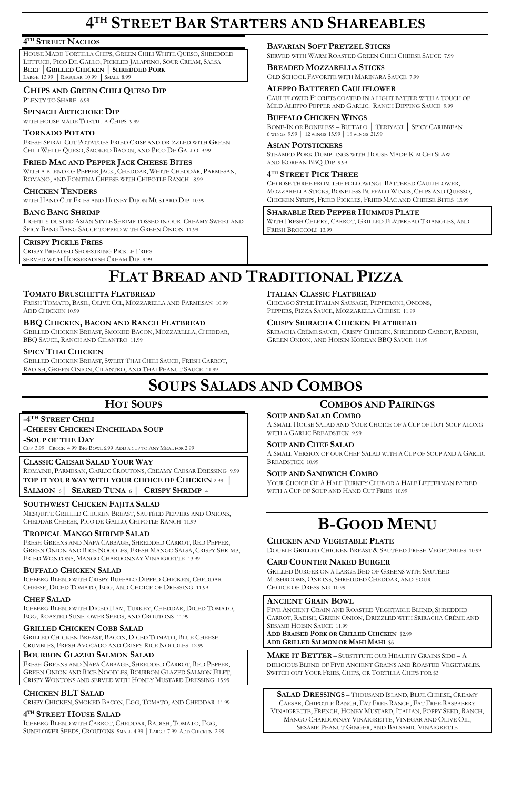# **4 TH STREET BAR STARTERS AND SHAREABLES**

## **4 TH STREET NACHOS**

HOUSE MADE TORTILLA CHIPS, GREEN CHILI WHITE QUESO, SHREDDED LETTUCE, PICO DE GALLO, PICKLED JALAPENO, SOUR CREAM, SALSA **BEEF │GRILLED CHICKEN │ SHREDDED PORK** LARGE 13.99 │ REGULAR 10.99 │ SMALL 8.99

## **CHIPS AND GREEN CHILI QUESO DIP**

PLENTY TO SHARE6.99

### **SPINACH ARTICHOKE DIP**

WITH HOUSE MADE TORTILLA CHIPS 9.99

### **TORNADO POTATO**

FRESH SPIRAL CUT POTATOES FRIED CRISP AND DRIZZLED WITH GREEN CHILI WHITE QUESO, SMOKED BACON, AND PICO DE GALLO 9.99

## **FRIED MAC AND PEPPER JACK CHEESE BITES**

WITH A BLEND OF PEPPER JACK, CHEDDAR, WHITE CHEDDAR, PARMESAN, ROMANO, AND FONTINA CHEESE WITH CHIPOTLE RANCH 8.99

## **CHICKEN TENDERS**

WITH HAND CUT FRIES AND HONEY DIJON MUSTARD DIP 10.99

#### **BANG BANG SHRIMP**

LIGHTLY DUSTED ASIAN STYLE SHRIMP TOSSED IN OUR CREAMY SWEET AND SPICY BANG BANG SAUCE TOPPED WITH GREEN ONION 11.99

## **CRISPY PICKLE FRIES**

CRISPY BREADED SHOESTRING PICKLE FRIES SERVED WITH HORSERADISH CREAM DIP 9.99

FRESH TOMATO, BASIL, OLIVE OIL, MOZZARELLA AND PARMESAN 10.99 ADD CHICKEN 10.99

## **BAVARIAN SOFT PRETZEL STICKS**

SERVED WITH WARM ROASTED GREEN CHILI CHEESE SAUCE 7.99

#### **BREADED MOZZARELLA STICKS**

OLD SCHOOL FAVORITE WITH MARINARA SAUCE 7.99

#### **ALEPPO BATTERED CAULIFLOWER**

CAULIFLOWER FLORETS COATED IN A LIGHT BATTER WITH A TOUCH OF MILD ALEPPO PEPPER AND GARLIC. RANCH DIPPING SAUCE 9.99

#### **BUFFALO CHICKEN WINGS**

BONE-IN OR BONELESS – BUFFALO │ TERIYAKI │ SPICY CARIBBEAN 6 WINGS 9.99 │ 12 WINGS 15.99 │ 18 WINGS 21.99

#### **ASIAN POTSTICKERS**

STEAMED PORK DUMPLINGS WITH HOUSE MADE KIM CHI SLAW AND KOREAN BBQ DIP 9.99

### **4 TH STREET PICK THREE**

CHOOSE THREE FROM THE FOLLOWING: BATTERED CAULIFLOWER, MOZZARELLA STICKS, BONELESS BUFFALO WINGS, CHIPS AND QUESSO, CHICKEN STRIPS, FRIED PICKLES, FRIED MAC AND CHEESE BITES 13.99

**SHARABLE RED PEPPER HUMMUS PLATE**

WITH FRESH CELERY, CARROT, GRILLED FLATBREAD TRIANGLES, AND FRESH BROCCOLI 13.99

# **FLAT BREAD AND TRADITIONAL PIZZA**

#### **TOMATO BRUSCHETTA FLATBREAD**

## **BBQ CHICKEN, BACON AND RANCH FLATBREAD**

GRILLED CHICKEN BREAST, SMOKED BACON, MOZZARELLA, CHEDDAR, BBQ SAUCE, RANCH AND CILANTRO 11.99

#### **SPICY THAI CHICKEN**

GRILLED CHICKEN BREAST, SWEET THAI CHILI SAUCE, FRESH CARROT, RADISH, GREEN ONION, CILANTRO, AND THAI PEANUT SAUCE 11.99

#### **ITALIAN CLASSIC FLATBREAD**

CHICAGO STYLE ITALIAN SAUSAGE, PEPPERONI, ONIONS, PEPPERS, PIZZA SAUCE, MOZZARELLA CHEESE 11.99

## **CRISPY SRIRACHA CHICKEN FLATBREAD**

SRIRACHA CRÈME SAUCE, CRISPY CHICKEN, SHREDDED CARROT, RADISH, GREEN ONION, AND HOISIN KOREAN BBQ SAUCE 11.99

# **SOUPS SALADS AND COMBOS**

## **HOT SOUPS**

## **-4 TH STREET CHILI**

**-CHEESY CHICKEN ENCHILADA SOUP -SOUP OF THE DAY** CUP 3.99 CROCK 4.99 BIG BOWL 6.99 ADD A CUP TO ANY MEAL FOR 2.99

# **CLASSIC CAESAR SALAD YOUR WAY**

ROMAINE, PARMESAN, GARLIC CROUTONS, CREAMY CAESAR DRESSING 9.99 **TOP IT YOUR WAY WITH YOUR CHOICE OF CHICKEN** 2.99 **│** 

**SALMON** 6**│ SEARED TUNA** <sup>6</sup> **│ CRISPY SHRIMP** <sup>4</sup>

## **SOUTHWEST CHICKEN FAJITA SALAD**

MESQUITE GRILLED CHICKEN BREAST, SAUTÉED PEPPERS AND ONIONS, CHEDDAR CHEESE, PICO DE GALLO, CHIPOTLE RANCH 11.99

#### **TROPICAL MANGO SHRIMP SALAD**

FRESH GREENS AND NAPA CABBAGE, SHREDDED CARROT, RED PEPPER, GREEN ONION AND RICE NOODLES, FRESH MANGO SALSA, CRISPY SHRIMP, FRIED WONTONS, MANGO CHARDONNAY VINAIGRETTE 13.99

#### **BUFFALO CHICKEN SALAD**

ICEBERG BLEND WITH CRISPY BUFFALO DIPPED CHICKEN, CHEDDAR

CHEESE, DICED TOMATO, EGG, AND CHOICE OF DRESSING 11.99

## **CHEF SALAD**

ICEBERG BLEND WITH DICED HAM, TURKEY, CHEDDAR, DICED TOMATO, EGG, ROASTED SUNFLOWER SEEDS, AND CROUTONS 11.99

## **GRILLED CHICKEN COBB SALAD**

GRILLED CHICKEN BREAST, BACON, DICED TOMATO, BLUE CHEESE CRUMBLES, FRESH AVOCADO AND CRISPY RICE NOODLES 12.99

## **BOURBON GLAZED SALMON SALAD**

FRESH GREENS AND NAPA CABBAGE, SHREDDED CARROT, RED PEPPER, GREEN ONION AND RICE NOODLES, BOURBON GLAZED SALMON FILET, CRISPY WONTONS AND SERVED WITH HONEY MUSTARD DRESSING 15.99

## **CHICKEN BLT SALAD**

CRISPY CHICKEN, SMOKED BACON, EGG, TOMATO, AND CHEDDAR 11.99

## **4 TH STREET HOUSE SALAD**

ICEBERG BLEND WITH CARROT, CHEDDAR, RADISH, TOMATO, EGG, SUNFLOWER SEEDS, CROUTONS SMALL 4.99 │ LARGE 7.99 ADD CHICKEN 2.99

## **COMBOS AND PAIRINGS**

#### **SOUP AND SALAD COMBO**

A SMALL HOUSE SALAD AND YOUR CHOICE OF A CUP OF HOT SOUP ALONG WITH A GARLIC BREADSTICK 9.99

#### **SOUP AND CHEF SALAD**

A SMALL VERSION OF OUR CHEF SALAD WITH A CUP OF SOUP AND A GARLIC BREADSTICK 10.99

#### **SOUP AND SANDWICH COMBO**

YOUR CHOICE OF A HALF TURKEY CLUB OR A HALF LETTERMAN PAIRED WITH A CUP OF SOUP AND HAND CUT FRIES 10.99

# **B-GOOD MENU**

#### **CHICKEN AND VEGETABLE PLATE**

DOUBLE GRILLED CHICKEN BREAST & SAUTÉED FRESH VEGETABLES 10.99

#### **CARB COUNTER NAKED BURGER**

GRILLED BURGER ON A LARGE BED OF GREENS WITH SAUTÉED MUSHROOMS, ONIONS, SHREDDED CHEDDAR, AND YOUR

CHOICE OF DRESSING 10.99

## **ANCIENT GRAIN BOWL**

FIVE ANCIENT GRAIN AND ROASTED VEGETABLE BLEND, SHREDDED CARROT, RADISH, GREEN ONION, DRIZZLED WITH SRIRACHA CRÈME AND SESAME HOISIN SAUCE 11.99 **ADD BRAISED PORK OR GRILLED CHICKEN** \$2.99 **ADD GRILLED SALMON OR MAHI MAHI** \$6

**MAKE IT BETTER** – SUBSTITUTE OUR HEALTHY GRAINS SIDE – A DELICIOUS BLEND OF FIVE ANCIENT GRAINS AND ROASTED VEGETABLES. SWITCH OUT YOUR FRIES, CHIPS, OR TORTILLA CHIPS FOR \$3

**SALAD DRESSINGS** – THOUSAND ISLAND, BLUE CHEESE, CREAMY CAESAR, CHIPOTLE RANCH, FAT FREE RANCH, FAT FREE RASPBERRY VINAIGRETTE, FRENCH, HONEY MUSTARD, ITALIAN, POPPY SEED, RANCH, MANGO CHARDONNAY VINAIGRETTE, VINEGAR AND OLIVE OIL, SESAME PEANUT GINGER, AND BALSAMIC VINAIGRETTE